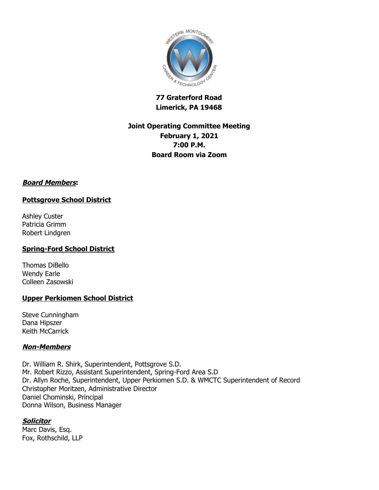

# **77 Graterford Road Limerick, PA 19468**

# **Joint Operating Committee Meeting February 1, 2021 7:00 P.M. Board Room via Zoom**

# **Board Members:**

# **Pottsgrove School District**

Ashley Custer Patricia Grimm Robert Lindgren

# **Spring-Ford School District**

Thomas DiBello Wendy Earle Colleen Zasowski

# **Upper Perkiomen School District**

Steve Cunningham Dana Hipszer Keith McCarrick

# **Non-Members**

Dr. William R. Shirk, Superintendent, Pottsgrove S.D. Mr. Robert Rizzo, Assistant Superintendent, Spring-Ford Area S.D Dr. Allyn Roche, Superintendent, Upper Perkiomen S.D. & WMCTC Superintendent of Record Christopher Moritzen, Administrative Director Daniel Chominski, Principal Donna Wilson, Business Manager

# **Solicitor**

Marc Davis, Esq. Fox, Rothschild, LLP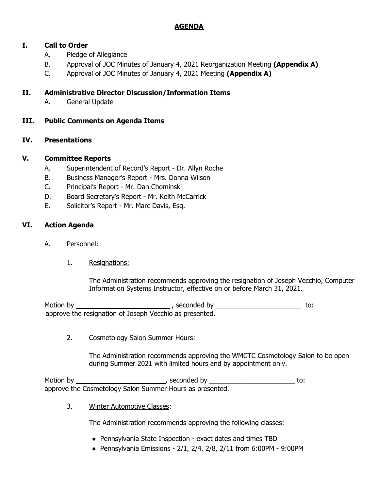# **AGENDA**

# **I. Call to Order**

- A. Pledge of Allegiance
- B. Approval of JOC Minutes of January 4, 2021 Reorganization Meeting **(Appendix A)**
- C. Approval of JOC Minutes of January 4, 2021 Meeting **(Appendix A)**

# **II. Administrative Director Discussion/Information Items**

A. General Update

# **III. Public Comments on Agenda Items**

# **IV. Presentations**

# **V. Committee Reports**

- A. Superintendent of Record's Report Dr. Allyn Roche
- B. Business Manager's Report Mrs. Donna Wilson
- C. Principal's Report Mr. Dan Chominski
- D. Board Secretary's Report Mr. Keith McCarrick
- E. Solicitor's Report Mr. Marc Davis, Esq.

# **VI. Action Agenda**

- A. Personnel:
	- 1. Resignations:

The Administration recommends approving the resignation of Joseph Vecchio, Computer Information Systems Instructor, effective on or before March 31, 2021.

Motion by , seconded by \_\_\_\_\_\_\_\_\_\_\_\_\_\_\_\_\_\_\_\_\_\_\_ to: approve the resignation of Joseph Vecchio as presented.

2. Cosmetology Salon Summer Hours:

The Administration recommends approving the WMCTC Cosmetology Salon to be open during Summer 2021 with limited hours and by appointment only.

Motion by , seconded by \_\_\_\_\_\_\_\_\_\_\_\_\_\_\_\_\_\_\_\_\_\_\_ to: approve the Cosmetology Salon Summer Hours as presented.

3. Winter Automotive Classes:

The Administration recommends approving the following classes:

- Pennsylvania State Inspection exact dates and times TBD
- Pennsylvania Emissions  $2/1$ ,  $2/4$ ,  $2/8$ ,  $2/11$  from 6:00PM 9:00PM